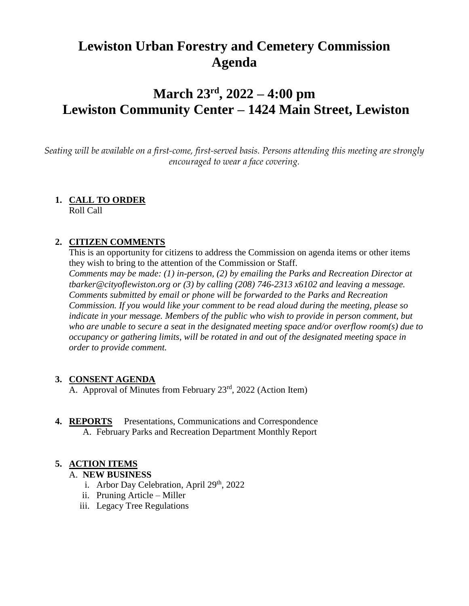# **Lewiston Urban Forestry and Cemetery Commission Agenda**

# **March 23rd, 2022 – 4:00 pm Lewiston Community Center – 1424 Main Street, Lewiston**

*Seating will be available on a first-come, first-served basis. Persons attending this meeting are strongly encouraged to wear a face covering.*

### **1. CALL TO ORDER**

Roll Call

### **2. CITIZEN COMMENTS**

This is an opportunity for citizens to address the Commission on agenda items or other items they wish to bring to the attention of the Commission or Staff. *Comments may be made: (1) in-person, (2) by emailing the Parks and Recreation Director at tbarker@cityoflewiston.org or (3) by calling (208) 746-2313 x6102 and leaving a message. Comments submitted by email or phone will be forwarded to the Parks and Recreation Commission. If you would like your comment to be read aloud during the meeting, please so indicate in your message. Members of the public who wish to provide in person comment, but who are unable to secure a seat in the designated meeting space and/or overflow room(s) due to occupancy or gathering limits, will be rotated in and out of the designated meeting space in order to provide comment.* 

### **3. CONSENT AGENDA**

A. Approval of Minutes from February 23<sup>rd</sup>, 2022 (Action Item)

**4. REPORTS** Presentations, Communications and Correspondence A. February Parks and Recreation Department Monthly Report

### **5. ACTION ITEMS**

#### A. **NEW BUSINESS**

- i. Arbor Day Celebration, April  $29<sup>th</sup>$ , 2022
- ii. Pruning Article Miller
- iii. Legacy Tree Regulations